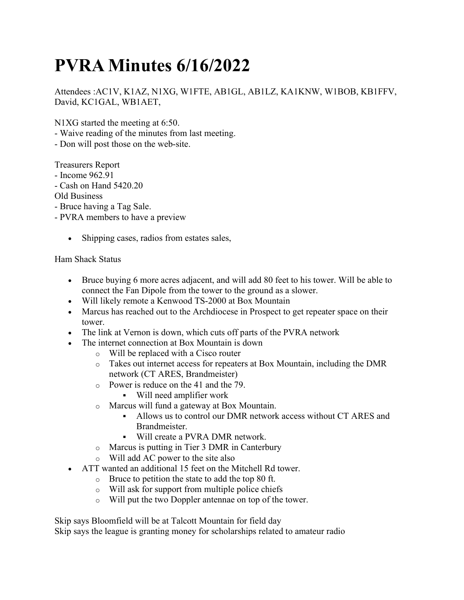## PVRA Minutes 6/16/2022

Attendees :AC1V, K1AZ, N1XG, W1FTE, AB1GL, AB1LZ, KA1KNW, W1BOB, KB1FFV, David, KC1GAL, WB1AET,

N1XG started the meeting at 6:50.

- Waive reading of the minutes from last meeting.
- Don will post those on the web-site.

Treasurers Report

- Income 962.91

- Cash on Hand 5420.20

Old Business

- Bruce having a Tag Sale.

- PVRA members to have a preview

• Shipping cases, radios from estates sales,

## Ham Shack Status

- Bruce buying 6 more acres adjacent, and will add 80 feet to his tower. Will be able to connect the Fan Dipole from the tower to the ground as a slower.
- Will likely remote a Kenwood TS-2000 at Box Mountain
- Marcus has reached out to the Archdiocese in Prospect to get repeater space on their tower.
- The link at Vernon is down, which cuts off parts of the PVRA network
- The internet connection at Box Mountain is down
	- o Will be replaced with a Cisco router
	- o Takes out internet access for repeaters at Box Mountain, including the DMR network (CT ARES, Brandmeister)
	- o Power is reduce on the 41 and the 79.
		- Will need amplifier work
	- o Marcus will fund a gateway at Box Mountain.
		- Allows us to control our DMR network access without CT ARES and Brandmeister.
		- Will create a PVRA DMR network.
	- o Marcus is putting in Tier 3 DMR in Canterbury
	- o Will add AC power to the site also
- ATT wanted an additional 15 feet on the Mitchell Rd tower.
	- o Bruce to petition the state to add the top 80 ft.
	- o Will ask for support from multiple police chiefs
	- o Will put the two Doppler antennae on top of the tower.

Skip says Bloomfield will be at Talcott Mountain for field day

Skip says the league is granting money for scholarships related to amateur radio